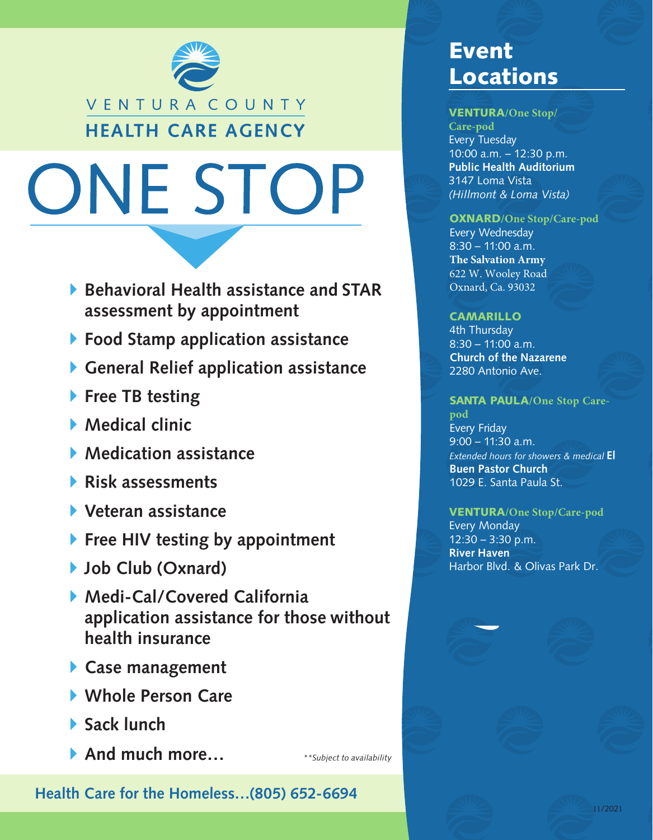

# ONE STOP

- **Behavioral Health assistance and STAR assessment by appointment**
- **Food Stamp application assistance**
- **General Relief application assistance**
- **Free TB testing**
- **Medical clinic**
- **Medication assistance**
- **Risk assessments**
- **Veteran assistance**
- **Free HIV testing by appointment**
- **Job Club (Oxnard)**
- **Medi-Cal/Covered California application assistance for those without health insurance**
- **Case management**
- **Whole Person Care**
- **Sack lunch**
- **And much more…**

*\*\*Subject to availability*

### **Health Care for the Homeless…(805) 652-6694**

## Event Locations

#### VENTURA**/One Stop/**

**Care-pod** Every Tuesday 10:00 a.m. – 12:30 p.m. **Public Health Auditorium** 3147 Loma Vista *(Hillmont & Loma Vista)*

#### OXNARD**/One Stop/Care-pod**

Every Wednesday 8:30 – 11:00 a.m. **The Salvation Army** 622 W. Wooley Road Oxnard, Ca. 93032

#### CAMARILLO

4th Thursday 8:30 – 11:00 a.m. **Church of the Nazarene** 2280 Antonio Ave.

#### SANTA PAULA**/One Stop Care-**

**pod** Every Friday 9:00 – 11:30 a.m. *Extended hours for showers & medical* **El Buen Pastor Church** 1029 E. Santa Paula St.

#### VENTURA**/One Stop/Care-pod**

Every Monday 12:30 – 3:30 p.m. **River Haven** Harbor Blvd. & Olivas Park Dr.

11/2021